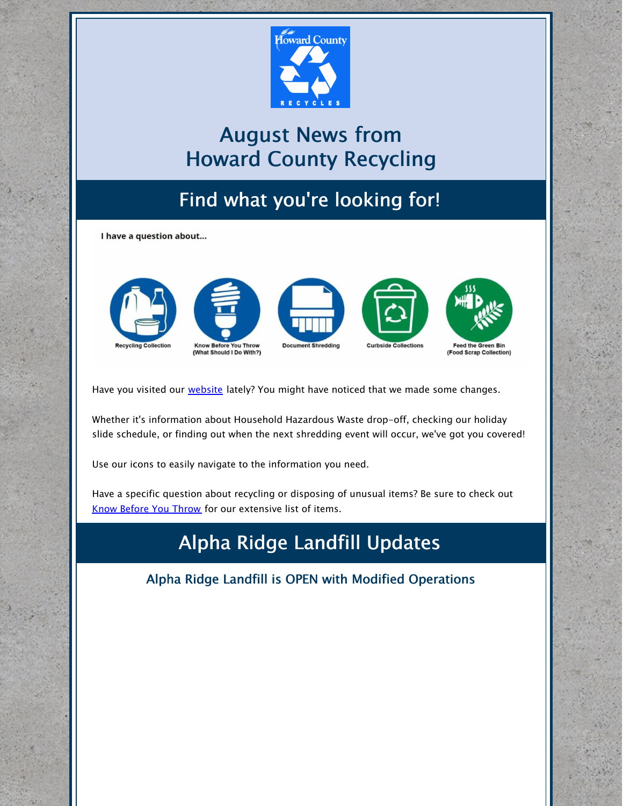

# August News from Howard County Recycling

# Find what you're looking for!

I have a question about...



Have you visited our [website](https://www.howardcountymd.gov/Departments/Public-Works/Bureau-Of-Environmental-Services/Recycling) lately? You might have noticed that we made some changes.

Whether it's information about Household Hazardous Waste drop-off, checking our holiday slide schedule, or finding out when the next shredding event will occur, we've got you covered!

Use our icons to easily navigate to the information you need.

Have a specific question about recycling or disposing of unusual items? Be sure to check out Know [Before](https://www.howardcountymd.gov/Departments/Public-Works/Bureau-Of-Environmental-Services/What-Should-I-Do-With) You Throw for our extensive list of items.

## Alpha Ridge Landfill Updates

Alpha Ridge Landfill is OPEN with Modified Operations